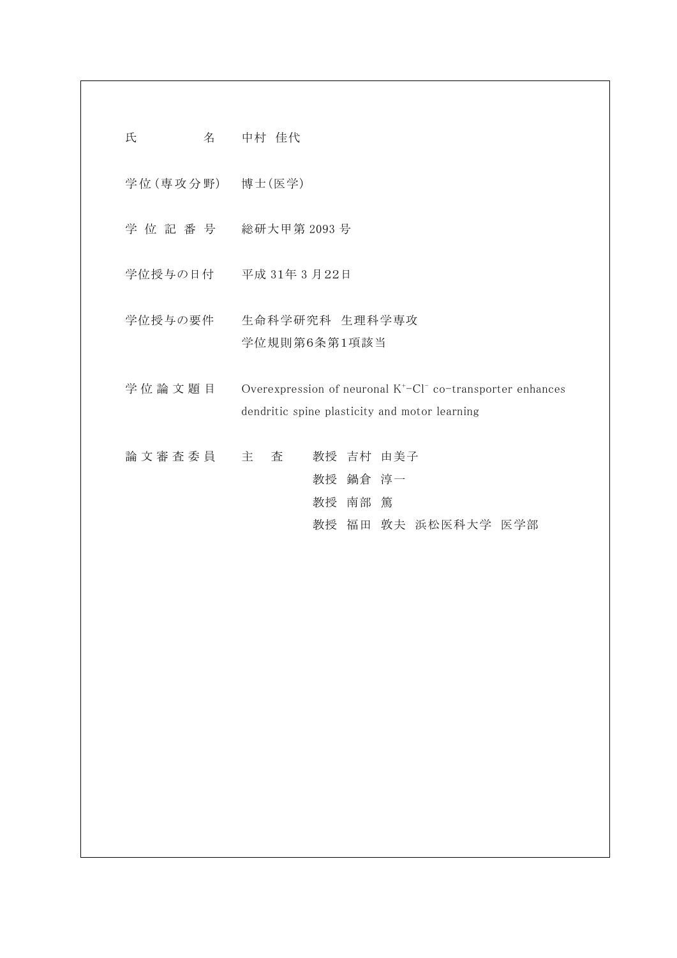| 氏<br>名            | 中村 佳代                                                                                                                               |
|-------------------|-------------------------------------------------------------------------------------------------------------------------------------|
| 学位 (専攻分野) 博士 (医学) |                                                                                                                                     |
|                   | 学位記番号 総研大甲第2093号                                                                                                                    |
|                   | 学位授与の日付 平成 31年 3月22日                                                                                                                |
| 学位授与の要件           | 生命科学研究科 生理科学専攻<br>学位規則第6条第1項該当                                                                                                      |
| 学位論文題目            | Overexpression of neuronal K <sup>+</sup> -Cl <sup>-</sup> co-transporter enhances<br>dendritic spine plasticity and motor learning |
| 論 文 審 査 委 員 て 主   | 教授 吉村 由美子<br>査<br>教授 鍋倉 淳一<br>教授 南部 篤<br>教授 福田 敦夫 浜松医科大学 医学部                                                                        |
|                   |                                                                                                                                     |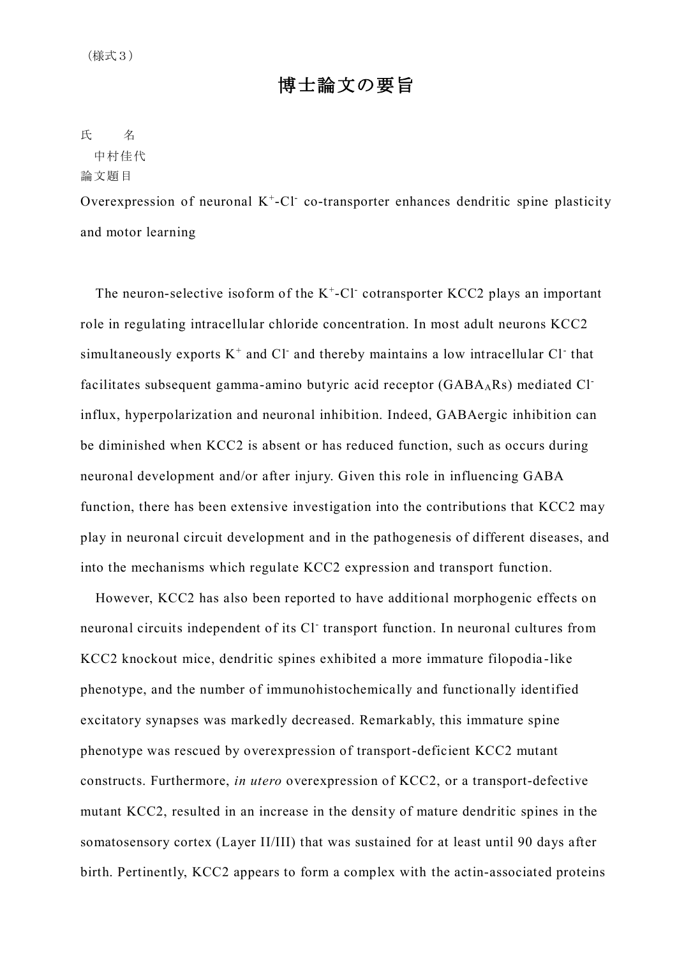# 博士論文の要旨

氏 名

# 中村佳代

### 論文題目

Overexpression of neuronal  $K^+$ -Cl co-transporter enhances dendritic spine plasticity and motor learning

The neuron-selective isoform of the  $K^+$ -Cl cotransporter KCC2 plays an important role in regulating intracellular chloride concentration. In most adult neurons KCC2 simultaneously exports  $K^+$  and  $Cl^-$  and thereby maintains a low intracellular  $Cl^-$  that facilitates subsequent gamma-amino butyric acid receptor (GABA<sub>A</sub>Rs) mediated Cl<sup>-</sup> influx, hyperpolarization and neuronal inhibition. Indeed, GABAergic inhibition can be diminished when KCC2 is absent or has reduced function, such as occurs during neuronal development and/or after injury. Given this role in influencing GABA function, there has been extensive investigation into the contributions that KCC2 may play in neuronal circuit development and in the pathogenesis of different diseases, and into the mechanisms which regulate KCC2 expression and transport function.

However, KCC2 has also been reported to have additional morphogenic effects on neuronal circuits independent of its Cl-transport function. In neuronal cultures from KCC2 knockout mice, dendritic spines exhibited a more immature filopodia -like phenotype, and the number of immunohistochemically and functionally identified excitatory synapses was markedly decreased. Remarkably, this immature spine phenotype was rescued by overexpression of transport-deficient KCC2 mutant constructs. Furthermore, *in utero* overexpression of KCC2, or a transport-defective mutant KCC2, resulted in an increase in the density of mature dendritic spines in the somatosensory cortex (Layer II/III) that was sustained for at least until 90 days after birth. Pertinently, KCC2 appears to form a complex with the actin-associated proteins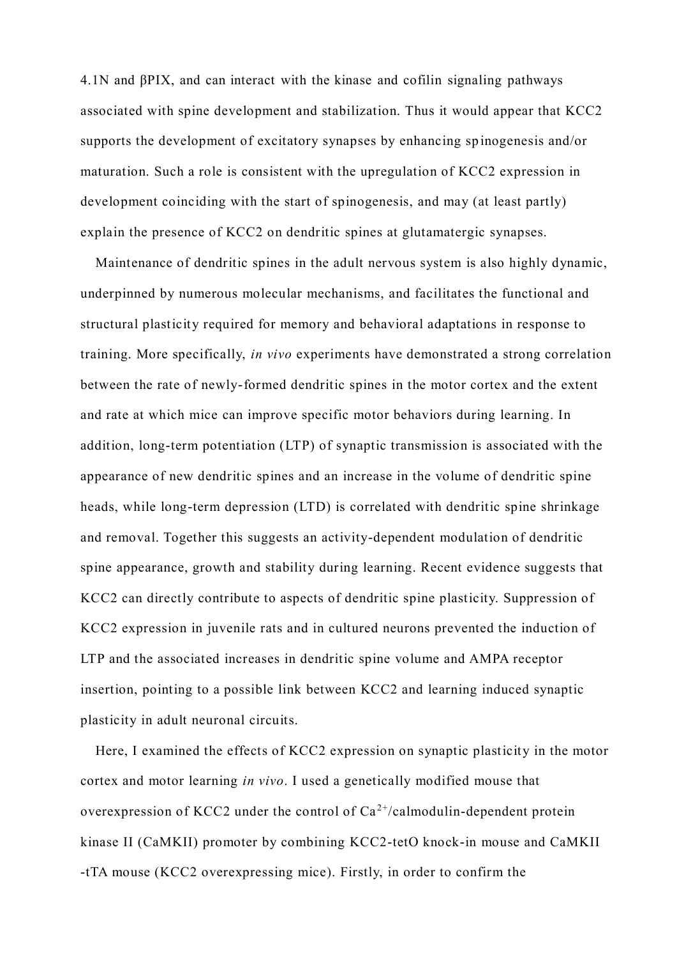4.1N and βPIX, and can interact with the kinase and cofilin signaling pathways associated with spine development and stabilization. Thus it would appear that KCC2 supports the development of excitatory synapses by enhancing spinogenesis and/or maturation. Such a role is consistent with the upregulation of KCC2 expression in development coinciding with the start of spinogenesis, and may (at least partly) explain the presence of KCC2 on dendritic spines at glutamatergic synapses.

Maintenance of dendritic spines in the adult nervous system is also highly dynamic, underpinned by numerous molecular mechanisms, and facilitates the functional and structural plasticity required for memory and behavioral adaptations in response to training. More specifically, *in vivo* experiments have demonstrated a strong correlation between the rate of newly-formed dendritic spines in the motor cortex and the extent and rate at which mice can improve specific motor behaviors during learning. In addition, long-term potentiation (LTP) of synaptic transmission is associated with the appearance of new dendritic spines and an increase in the volume of dendritic spine heads, while long-term depression (LTD) is correlated with dendritic spine shrinkage and removal. Together this suggests an activity-dependent modulation of dendritic spine appearance, growth and stability during learning. Recent evidence suggests that KCC2 can directly contribute to aspects of dendritic spine plasticity. Suppression of KCC2 expression in juvenile rats and in cultured neurons prevented the induction of LTP and the associated increases in dendritic spine volume and AMPA receptor insertion, pointing to a possible link between KCC2 and learning induced synaptic plasticity in adult neuronal circuits.

Here, I examined the effects of KCC2 expression on synaptic plasticity in the motor cortex and motor learning *in vivo*. I used a genetically modified mouse that overexpression of KCC2 under the control of  $Ca^{2+}/cal$ calmodulin-dependent protein kinase II (CaMKII) promoter by combining KCC2-tetO knock-in mouse and CaMKII -tTA mouse (KCC2 overexpressing mice). Firstly, in order to confirm the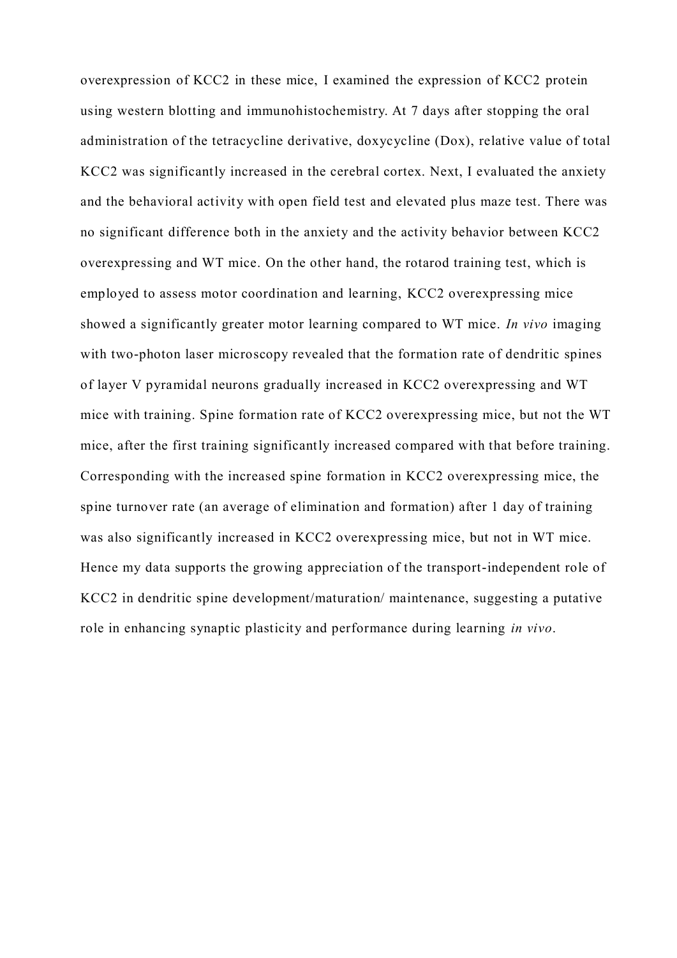overexpression of KCC2 in these mice, I examined the expression of KCC2 protein using western blotting and immunohistochemistry. At 7 days after stopping the oral administration of the tetracycline derivative, doxycycline (Dox), relative value of total KCC2 was significantly increased in the cerebral cortex. Next, I evaluated the anxiety and the behavioral activity with open field test and elevated plus maze test. There was no significant difference both in the anxiety and the activity behavior between KCC2 overexpressing and WT mice. On the other hand, the rotarod training test, which is employed to assess motor coordination and learning, KCC2 overexpressing mice showed a significantly greater motor learning compared to WT mice. *In vivo* imaging with two-photon laser microscopy revealed that the formation rate of dendritic spines of layer V pyramidal neurons gradually increased in KCC2 overexpressing and WT mice with training. Spine formation rate of KCC2 overexpressing mice, but not the WT mice, after the first training significantly increased compared with that before training. Corresponding with the increased spine formation in KCC2 overexpressing mice, the spine turnover rate (an average of elimination and formation) after 1 day of training was also significantly increased in KCC2 overexpressing mice, but not in WT mice. Hence my data supports the growing appreciation of the transport-independent role of KCC2 in dendritic spine development/maturation/ maintenance, suggesting a putative role in enhancing synaptic plasticity and performance during learning *in vivo*.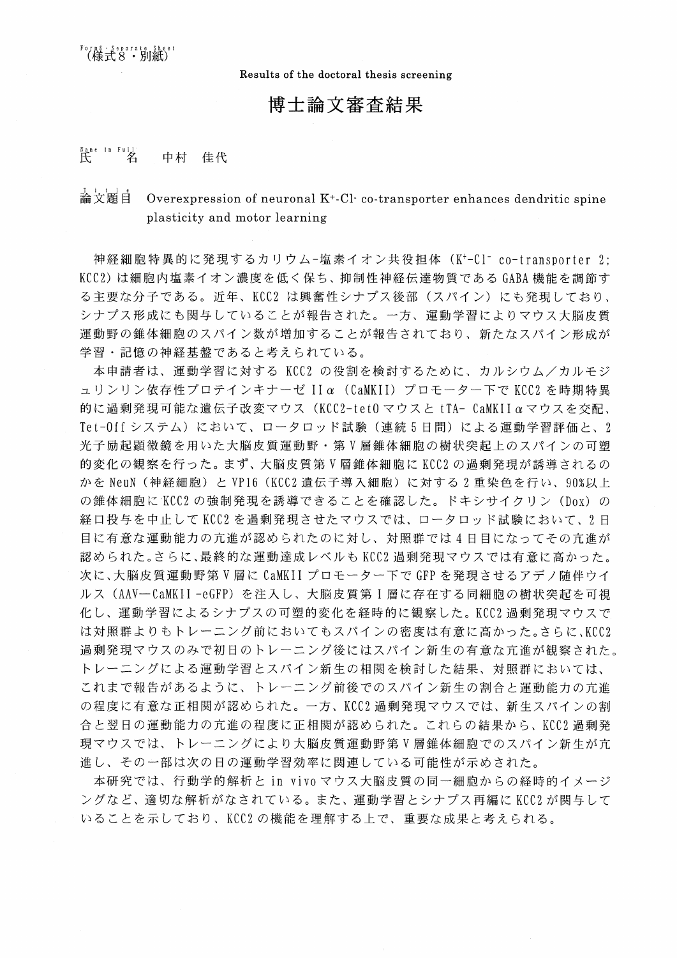Results of the doctoral thesis screening

## 博士論文審査結果

#### $\mathcal{F}$  ane in Full 中村 佳代

#### 論文頴白 Overexpression of neuronal  $K^+$ -Cl·co-transporter enhances dendritic spine plasticity and motor learning

神経細胞特異的に発現するカリウム-塩素イオン共役担体 (K<sup>+</sup>-Cl<sup>-</sup> co-transporter 2: KCC2)は細胞内塩素イオン濃度を低く保ち、抑制性神経伝達物質である GABA 機能を調節す る主要な分子である。近年、KCC2 は興奮性シナプス後部(スパイン)にも発現しており、 シナプス形成にも関与していることが報告された。一方、運動学習によりマウス大脳皮質 運動野の錐体細胞のスパイン数が増加することが報告されており、新たなスパイン形成が 学習・記憶の神経基盤であると考えられている。

本申請者は、運動学習に対する KCC2 の役割を検討するために、カルシウム/カルモジ ュリンリン依存性プロテインキナーゼ IIα (CaMKII) プロモーター下で KCC2 を時期特異 的に過剰発現可能な遺伝子改変マウス (KCC2-tet0 マウスと tTA- CaMKIIαマウスを交配、 Tet-Offシステム)において、ロータロッド試験(連続5日間)による運動学習評価と、2 光子励起顕微鏡を用いた大脳皮質運動野・第V層錐体細胞の樹状突起上のスパインの可塑 的変化の観察を行った。まず、大脳皮質第V層錐体細胞に KCC2 の過剰発現が誘導されるの かを NeuN (神経細胞) と VP16 (KCC2 遺伝子導入細胞) に対する 2 重染色を行い、90%以上 の錐体細胞にKCC2の強制発現を誘導できることを確認した。ドキシサイクリン (Dox) の 経口投与を中止してKCC2を過剰発現させたマウスでは、ロータロッド試験において、2日 目に有意な運動能力の亢進が認められたのに対し、対照群では4日目になってその亢進が 認められた。さらに、最終的な運動達成レベルも KCC2 過剰発現マウスでは有意に高かった。 次に、大脳皮質運動野第V層に CaMKII プロモーター下で GFP を発現させるアデノ随伴ウイ ルス(AAV-CaMKII-eGFP)を注入し、大脳皮質第I層に存在する同細胞の樹状突起を可視 化し、運動学習によるシナプスの可塑的変化を経時的に観察した。KCC2 過剰発現マウスで は対照群よりもトレーニング前においてもスパインの密度は有意に高かった。さらに、KCC2 過剰発現マウスのみで初日のトレーニング後にはスパイン新生の有意な亢進が観察された。 トレーニングによる運動学習とスパイン新生の相関を検討した結果、対照群においては、 これまで報告があるように、トレーニング前後でのスパイン新生の割合と運動能力の亢進 の程度に有意な正相関が認められた。一方、KCC2 過剰発現マウスでは、新生スパインの割 合と翌日の運動能力の亢進の程度に正相関が認められた。これらの結果から、KCC2 過剰発 現マウスでは、トレーニングにより大脳皮質運動野第V層錐体細胞でのスパイン新生が亢 進し、その一部は次の日の運動学習効率に関連している可能性が示めされた。

本研究では、行動学的解析と in vivo マウス大脳皮質の同一細胞からの経時的イメージ ングなど、適切な解析がなされている。また、運動学習とシナプス再編に KCC2 が関与して いることを示しており、KCC2の機能を理解する上で、重要な成果と考えられる。